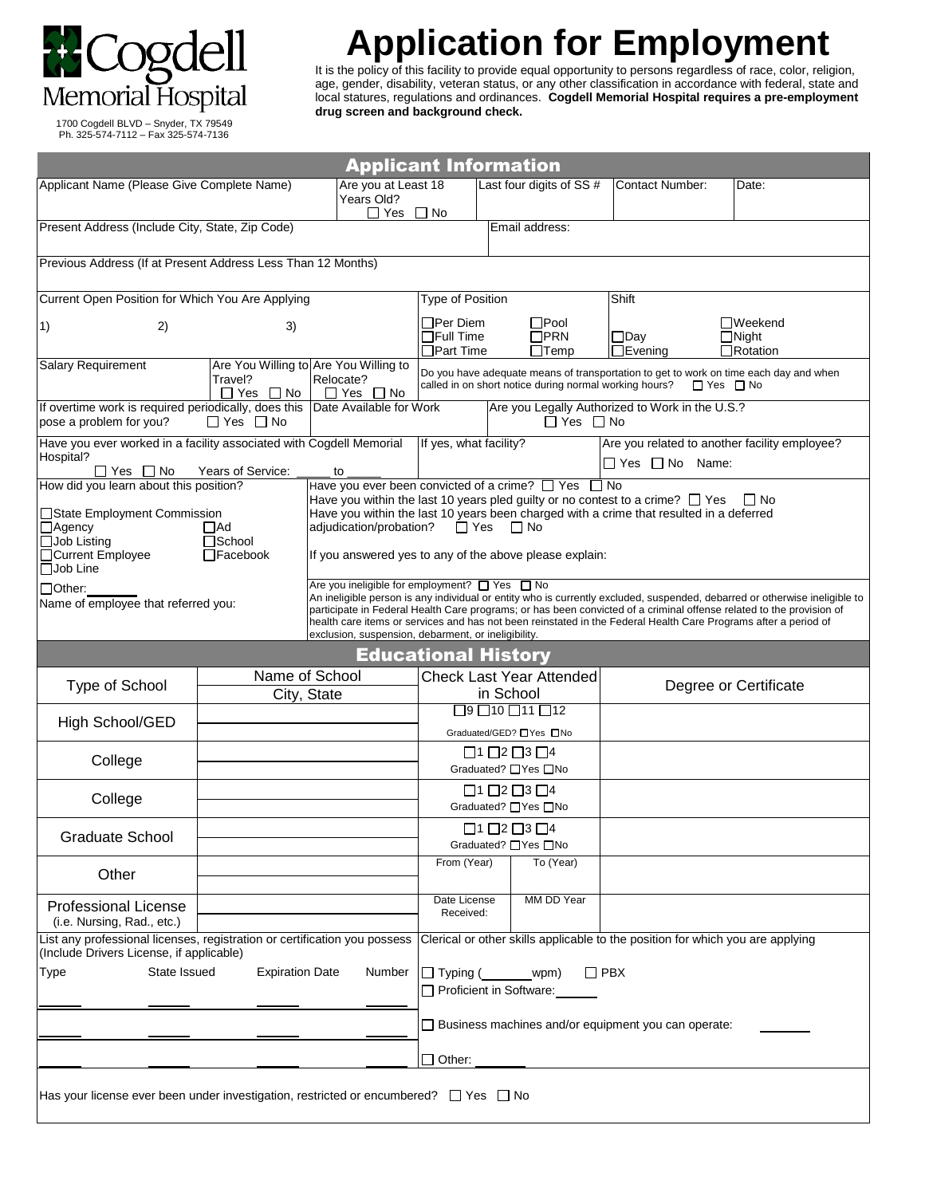

## **Application for Employment**

It is the policy of this facility to provide equal opportunity to persons regardless of race, color, religion, age, gender, disability, veteran status, or any other classification in accordance with federal, state and local statures, regulations and ordinances. **Cogdell Memorial Hospital requires a pre-employment drug screen and background check.**

 1700 Cogdell BLVD – Snyder, TX 79549 Ph. 325-574-7112 – Fax 325-574-7136

| <b>Applicant Information</b>                                                                                                                                                         |                                                                            |                                                                                                                                                                                                                                                                                                                                                                                                                                                                                         |                                                                |                                                                                           |                                                                                |                                                   |
|--------------------------------------------------------------------------------------------------------------------------------------------------------------------------------------|----------------------------------------------------------------------------|-----------------------------------------------------------------------------------------------------------------------------------------------------------------------------------------------------------------------------------------------------------------------------------------------------------------------------------------------------------------------------------------------------------------------------------------------------------------------------------------|----------------------------------------------------------------|-------------------------------------------------------------------------------------------|--------------------------------------------------------------------------------|---------------------------------------------------|
| Applicant Name (Please Give Complete Name)                                                                                                                                           |                                                                            | Are you at Least 18<br>Years Old?<br>$\Box$ Yes                                                                                                                                                                                                                                                                                                                                                                                                                                         | $\Box$ No                                                      | Last four digits of SS #                                                                  | <b>Contact Number:</b>                                                         | Date:                                             |
| Present Address (Include City, State, Zip Code)                                                                                                                                      |                                                                            |                                                                                                                                                                                                                                                                                                                                                                                                                                                                                         |                                                                | Email address:                                                                            |                                                                                |                                                   |
| Previous Address (If at Present Address Less Than 12 Months)                                                                                                                         |                                                                            |                                                                                                                                                                                                                                                                                                                                                                                                                                                                                         |                                                                |                                                                                           |                                                                                |                                                   |
| Current Open Position for Which You Are Applying                                                                                                                                     |                                                                            | <b>Type of Position</b>                                                                                                                                                                                                                                                                                                                                                                                                                                                                 |                                                                | Shift                                                                                     |                                                                                |                                                   |
| 2)<br>$\vert 1)$                                                                                                                                                                     | 3)                                                                         |                                                                                                                                                                                                                                                                                                                                                                                                                                                                                         | $\sqcap$ Per Diem<br>$\Box$ Full Time<br>$\sqsupset$ Part Time | $\square$ Pool<br>$\Box$ PRN<br>$\Box$ Temp                                               | $\Box$ Day<br>$\Box$ Evening                                                   | $\Box$ Weekend<br>$\Box$ Night<br>$\Box$ Rotation |
| Salary Requirement                                                                                                                                                                   | Are You Willing to Are You Willing to<br>Relocate?<br>$\Box$ Yes $\Box$ No | Do you have adequate means of transportation to get to work on time each day and when<br>called in on short notice during normal working hours?<br>$\Box$ Yes $\Box$ No                                                                                                                                                                                                                                                                                                                 |                                                                |                                                                                           |                                                                                |                                                   |
| If overtime work is required periodically, does this Date Available for Work<br>$\Box$ Yes $\Box$ No<br>pose a problem for you?                                                      |                                                                            | Are you Legally Authorized to Work in the U.S.?<br>$\Box$ Yes $\Box$ No                                                                                                                                                                                                                                                                                                                                                                                                                 |                                                                |                                                                                           |                                                                                |                                                   |
| Have you ever worked in a facility associated with Cogdell Memorial<br>Hospital?<br>Years of Service:<br>$\Box$ Yes $\Box$ No                                                        | to                                                                         | If yes, what facility?                                                                                                                                                                                                                                                                                                                                                                                                                                                                  |                                                                | Are you related to another facility employee?<br>$\Box$ Yes $\Box$ No Name:               |                                                                                |                                                   |
| How did you learn about this position?<br>□State Employment Commission<br>$\Box$ Agency<br>$\Box$ Ad<br>□Job Listing<br>□School<br>□Current Employee<br>$\Box$ Facebook<br>□Job Line |                                                                            | Have you ever been convicted of a crime? □ Yes □ No<br>Have you within the last 10 years pled guilty or no contest to a crime? $\Box$ Yes<br>∐ No<br>Have you within the last 10 years been charged with a crime that resulted in a deferred<br>adjudication/probation?<br>$\Box$ Yes $\Box$ No<br>If you answered yes to any of the above please explain:                                                                                                                              |                                                                |                                                                                           |                                                                                |                                                   |
| $\Box$ Other:<br>Name of employee that referred you:                                                                                                                                 |                                                                            | Are you ineligible for employment? $\Box$ Yes $\Box$ No<br>An ineligible person is any individual or entity who is currently excluded, suspended, debarred or otherwise ineligible to<br>participate in Federal Health Care programs; or has been convicted of a criminal offense related to the provision of<br>health care items or services and has not been reinstated in the Federal Health Care Programs after a period of<br>exclusion, suspension, debarment, or ineligibility. |                                                                |                                                                                           |                                                                                |                                                   |
|                                                                                                                                                                                      |                                                                            |                                                                                                                                                                                                                                                                                                                                                                                                                                                                                         | <b>Educational History</b>                                     |                                                                                           |                                                                                |                                                   |
| Type of School                                                                                                                                                                       | Name of School<br>City, State                                              |                                                                                                                                                                                                                                                                                                                                                                                                                                                                                         |                                                                | <b>Check Last Year Attended</b><br>in School                                              |                                                                                | Degree or Certificate                             |
| High School/GED                                                                                                                                                                      |                                                                            |                                                                                                                                                                                                                                                                                                                                                                                                                                                                                         |                                                                | $\boxed{9}\boxed{10}\boxed{11}\boxed{12}$                                                 |                                                                                |                                                   |
| College                                                                                                                                                                              |                                                                            |                                                                                                                                                                                                                                                                                                                                                                                                                                                                                         |                                                                | Graduated/GED? □ Yes □ No<br>$\Box$ 1 $\Box$ 2 $\Box$ 3 $\Box$ 4<br>Graduated? □ Yes □ No |                                                                                |                                                   |
| College                                                                                                                                                                              |                                                                            |                                                                                                                                                                                                                                                                                                                                                                                                                                                                                         |                                                                | $\Box$ 1 $\Box$ 2 $\Box$ 3 $\Box$ 4<br>Graduated? □ Yes □ No                              |                                                                                |                                                   |
| <b>Graduate School</b>                                                                                                                                                               |                                                                            |                                                                                                                                                                                                                                                                                                                                                                                                                                                                                         |                                                                | $\Box$ 1 $\Box$ 2 $\Box$ 3 $\Box$ 4                                                       |                                                                                |                                                   |
| Other                                                                                                                                                                                |                                                                            |                                                                                                                                                                                                                                                                                                                                                                                                                                                                                         | From (Year)                                                    | Graduated? □ Yes □ No<br>To (Year)                                                        |                                                                                |                                                   |
| <b>Professional License</b><br>(i.e. Nursing, Rad., etc.)                                                                                                                            |                                                                            |                                                                                                                                                                                                                                                                                                                                                                                                                                                                                         | Date License<br>Received:                                      | MM DD Year                                                                                |                                                                                |                                                   |
| List any professional licenses, registration or certification you possess                                                                                                            |                                                                            |                                                                                                                                                                                                                                                                                                                                                                                                                                                                                         |                                                                |                                                                                           | Clerical or other skills applicable to the position for which you are applying |                                                   |
| (Include Drivers License, if applicable)<br>State Issued<br><b>Type</b>                                                                                                              | <b>Expiration Date</b>                                                     | Number                                                                                                                                                                                                                                                                                                                                                                                                                                                                                  | $\Box$ Typing ( ________ wpm)<br>Proficient in Software:       | $\Box$ PBX                                                                                |                                                                                |                                                   |
|                                                                                                                                                                                      |                                                                            |                                                                                                                                                                                                                                                                                                                                                                                                                                                                                         |                                                                |                                                                                           | $\Box$ Business machines and/or equipment you can operate:                     |                                                   |
|                                                                                                                                                                                      |                                                                            |                                                                                                                                                                                                                                                                                                                                                                                                                                                                                         | $\Box$ Other:                                                  |                                                                                           |                                                                                |                                                   |
| Has your license ever been under investigation, restricted or encumbered? $\Box$ Yes $\Box$ No                                                                                       |                                                                            |                                                                                                                                                                                                                                                                                                                                                                                                                                                                                         |                                                                |                                                                                           |                                                                                |                                                   |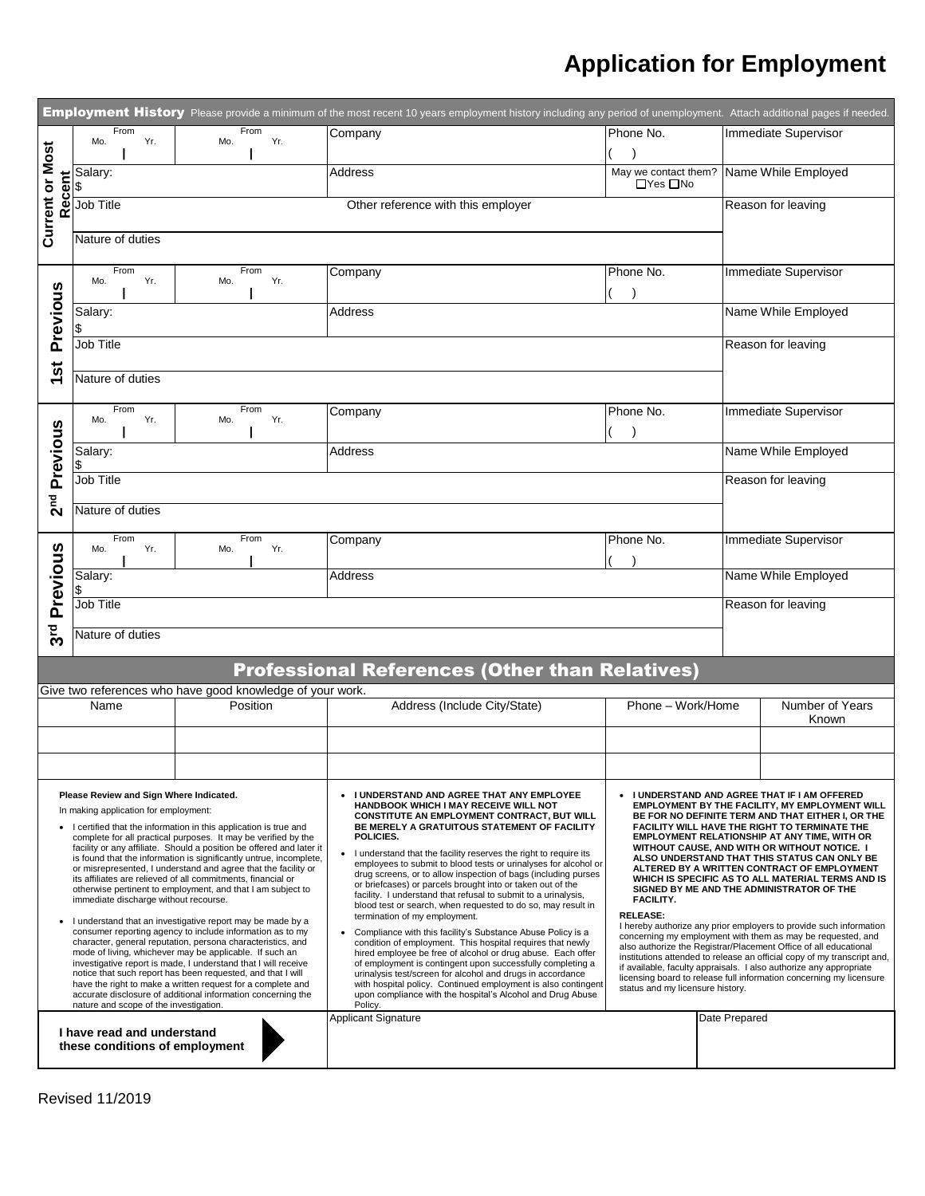## **Application for Employment**

| Employment History Please provide a minimum of the most recent 10 years employment history including any period of unemployment. Attach additional pages if needed.                                                                                                                                                                                                                                                                                                                                                                                                                                                                                                                                                                                                                                                                                                                                                                                                                                                                                                                                                                   |                                                           |                                                           |                                                                                                                                                                                                                                                                                                                                                                                                                                                                                                                                                                                                                                                                                                                                                                                                                                                                                                                                                                                                                                                                                                             |                                                                                                                                                                                                                                                                                                                                                                                                                                                                                                                                                                                                                                                                                                                                                                                                                                                                                                                                                                                                                  |               |                          |  |
|---------------------------------------------------------------------------------------------------------------------------------------------------------------------------------------------------------------------------------------------------------------------------------------------------------------------------------------------------------------------------------------------------------------------------------------------------------------------------------------------------------------------------------------------------------------------------------------------------------------------------------------------------------------------------------------------------------------------------------------------------------------------------------------------------------------------------------------------------------------------------------------------------------------------------------------------------------------------------------------------------------------------------------------------------------------------------------------------------------------------------------------|-----------------------------------------------------------|-----------------------------------------------------------|-------------------------------------------------------------------------------------------------------------------------------------------------------------------------------------------------------------------------------------------------------------------------------------------------------------------------------------------------------------------------------------------------------------------------------------------------------------------------------------------------------------------------------------------------------------------------------------------------------------------------------------------------------------------------------------------------------------------------------------------------------------------------------------------------------------------------------------------------------------------------------------------------------------------------------------------------------------------------------------------------------------------------------------------------------------------------------------------------------------|------------------------------------------------------------------------------------------------------------------------------------------------------------------------------------------------------------------------------------------------------------------------------------------------------------------------------------------------------------------------------------------------------------------------------------------------------------------------------------------------------------------------------------------------------------------------------------------------------------------------------------------------------------------------------------------------------------------------------------------------------------------------------------------------------------------------------------------------------------------------------------------------------------------------------------------------------------------------------------------------------------------|---------------|--------------------------|--|
|                                                                                                                                                                                                                                                                                                                                                                                                                                                                                                                                                                                                                                                                                                                                                                                                                                                                                                                                                                                                                                                                                                                                       | From<br>Yr.<br>Mo.                                        | From<br>Yr.<br>Mo.                                        | Company                                                                                                                                                                                                                                                                                                                                                                                                                                                                                                                                                                                                                                                                                                                                                                                                                                                                                                                                                                                                                                                                                                     | Phone No.                                                                                                                                                                                                                                                                                                                                                                                                                                                                                                                                                                                                                                                                                                                                                                                                                                                                                                                                                                                                        |               | Immediate Supervisor     |  |
|                                                                                                                                                                                                                                                                                                                                                                                                                                                                                                                                                                                                                                                                                                                                                                                                                                                                                                                                                                                                                                                                                                                                       |                                                           |                                                           |                                                                                                                                                                                                                                                                                                                                                                                                                                                                                                                                                                                                                                                                                                                                                                                                                                                                                                                                                                                                                                                                                                             |                                                                                                                                                                                                                                                                                                                                                                                                                                                                                                                                                                                                                                                                                                                                                                                                                                                                                                                                                                                                                  |               |                          |  |
| <b>Current or Most</b>                                                                                                                                                                                                                                                                                                                                                                                                                                                                                                                                                                                                                                                                                                                                                                                                                                                                                                                                                                                                                                                                                                                | Salary:<br>\$                                             |                                                           | <b>Address</b>                                                                                                                                                                                                                                                                                                                                                                                                                                                                                                                                                                                                                                                                                                                                                                                                                                                                                                                                                                                                                                                                                              | May we contact them? Name While Employed<br>$\Box$ Yes $\Box$ No                                                                                                                                                                                                                                                                                                                                                                                                                                                                                                                                                                                                                                                                                                                                                                                                                                                                                                                                                 |               |                          |  |
|                                                                                                                                                                                                                                                                                                                                                                                                                                                                                                                                                                                                                                                                                                                                                                                                                                                                                                                                                                                                                                                                                                                                       | Recent<br>Job Title<br>Other reference with this employer |                                                           |                                                                                                                                                                                                                                                                                                                                                                                                                                                                                                                                                                                                                                                                                                                                                                                                                                                                                                                                                                                                                                                                                                             |                                                                                                                                                                                                                                                                                                                                                                                                                                                                                                                                                                                                                                                                                                                                                                                                                                                                                                                                                                                                                  |               | Reason for leaving       |  |
| Nature of duties                                                                                                                                                                                                                                                                                                                                                                                                                                                                                                                                                                                                                                                                                                                                                                                                                                                                                                                                                                                                                                                                                                                      |                                                           |                                                           |                                                                                                                                                                                                                                                                                                                                                                                                                                                                                                                                                                                                                                                                                                                                                                                                                                                                                                                                                                                                                                                                                                             |                                                                                                                                                                                                                                                                                                                                                                                                                                                                                                                                                                                                                                                                                                                                                                                                                                                                                                                                                                                                                  |               |                          |  |
|                                                                                                                                                                                                                                                                                                                                                                                                                                                                                                                                                                                                                                                                                                                                                                                                                                                                                                                                                                                                                                                                                                                                       | From<br>Mo.<br>Yr.                                        | From<br>Yr.<br>Mo.                                        | Company                                                                                                                                                                                                                                                                                                                                                                                                                                                                                                                                                                                                                                                                                                                                                                                                                                                                                                                                                                                                                                                                                                     | Phone No.                                                                                                                                                                                                                                                                                                                                                                                                                                                                                                                                                                                                                                                                                                                                                                                                                                                                                                                                                                                                        |               | Immediate Supervisor     |  |
| Previous                                                                                                                                                                                                                                                                                                                                                                                                                                                                                                                                                                                                                                                                                                                                                                                                                                                                                                                                                                                                                                                                                                                              | Salary:                                                   |                                                           | Address                                                                                                                                                                                                                                                                                                                                                                                                                                                                                                                                                                                                                                                                                                                                                                                                                                                                                                                                                                                                                                                                                                     |                                                                                                                                                                                                                                                                                                                                                                                                                                                                                                                                                                                                                                                                                                                                                                                                                                                                                                                                                                                                                  |               | Name While Employed      |  |
|                                                                                                                                                                                                                                                                                                                                                                                                                                                                                                                                                                                                                                                                                                                                                                                                                                                                                                                                                                                                                                                                                                                                       | Job Title                                                 |                                                           |                                                                                                                                                                                                                                                                                                                                                                                                                                                                                                                                                                                                                                                                                                                                                                                                                                                                                                                                                                                                                                                                                                             |                                                                                                                                                                                                                                                                                                                                                                                                                                                                                                                                                                                                                                                                                                                                                                                                                                                                                                                                                                                                                  |               | Reason for leaving       |  |
|                                                                                                                                                                                                                                                                                                                                                                                                                                                                                                                                                                                                                                                                                                                                                                                                                                                                                                                                                                                                                                                                                                                                       | ぁ<br>Nature of duties                                     |                                                           |                                                                                                                                                                                                                                                                                                                                                                                                                                                                                                                                                                                                                                                                                                                                                                                                                                                                                                                                                                                                                                                                                                             |                                                                                                                                                                                                                                                                                                                                                                                                                                                                                                                                                                                                                                                                                                                                                                                                                                                                                                                                                                                                                  |               |                          |  |
|                                                                                                                                                                                                                                                                                                                                                                                                                                                                                                                                                                                                                                                                                                                                                                                                                                                                                                                                                                                                                                                                                                                                       | From<br>Yr.<br>Mo.                                        | From<br>Mo.<br>Yr.                                        | Company                                                                                                                                                                                                                                                                                                                                                                                                                                                                                                                                                                                                                                                                                                                                                                                                                                                                                                                                                                                                                                                                                                     | Phone No.                                                                                                                                                                                                                                                                                                                                                                                                                                                                                                                                                                                                                                                                                                                                                                                                                                                                                                                                                                                                        |               | Immediate Supervisor     |  |
| Previous                                                                                                                                                                                                                                                                                                                                                                                                                                                                                                                                                                                                                                                                                                                                                                                                                                                                                                                                                                                                                                                                                                                              | Salary:                                                   |                                                           | <b>Address</b>                                                                                                                                                                                                                                                                                                                                                                                                                                                                                                                                                                                                                                                                                                                                                                                                                                                                                                                                                                                                                                                                                              |                                                                                                                                                                                                                                                                                                                                                                                                                                                                                                                                                                                                                                                                                                                                                                                                                                                                                                                                                                                                                  |               | Name While Employed      |  |
|                                                                                                                                                                                                                                                                                                                                                                                                                                                                                                                                                                                                                                                                                                                                                                                                                                                                                                                                                                                                                                                                                                                                       | Job Title                                                 |                                                           |                                                                                                                                                                                                                                                                                                                                                                                                                                                                                                                                                                                                                                                                                                                                                                                                                                                                                                                                                                                                                                                                                                             |                                                                                                                                                                                                                                                                                                                                                                                                                                                                                                                                                                                                                                                                                                                                                                                                                                                                                                                                                                                                                  |               | Reason for leaving       |  |
| 2 <sup>nd</sup>                                                                                                                                                                                                                                                                                                                                                                                                                                                                                                                                                                                                                                                                                                                                                                                                                                                                                                                                                                                                                                                                                                                       | Nature of duties                                          |                                                           |                                                                                                                                                                                                                                                                                                                                                                                                                                                                                                                                                                                                                                                                                                                                                                                                                                                                                                                                                                                                                                                                                                             |                                                                                                                                                                                                                                                                                                                                                                                                                                                                                                                                                                                                                                                                                                                                                                                                                                                                                                                                                                                                                  |               |                          |  |
|                                                                                                                                                                                                                                                                                                                                                                                                                                                                                                                                                                                                                                                                                                                                                                                                                                                                                                                                                                                                                                                                                                                                       | From<br>Mo.<br>Yr.                                        | From<br>Yr.<br>Mo.                                        | Company                                                                                                                                                                                                                                                                                                                                                                                                                                                                                                                                                                                                                                                                                                                                                                                                                                                                                                                                                                                                                                                                                                     | Phone No.                                                                                                                                                                                                                                                                                                                                                                                                                                                                                                                                                                                                                                                                                                                                                                                                                                                                                                                                                                                                        |               | Immediate Supervisor     |  |
| Previous                                                                                                                                                                                                                                                                                                                                                                                                                                                                                                                                                                                                                                                                                                                                                                                                                                                                                                                                                                                                                                                                                                                              | Salary:                                                   |                                                           | Address                                                                                                                                                                                                                                                                                                                                                                                                                                                                                                                                                                                                                                                                                                                                                                                                                                                                                                                                                                                                                                                                                                     |                                                                                                                                                                                                                                                                                                                                                                                                                                                                                                                                                                                                                                                                                                                                                                                                                                                                                                                                                                                                                  |               | Name While Employed      |  |
|                                                                                                                                                                                                                                                                                                                                                                                                                                                                                                                                                                                                                                                                                                                                                                                                                                                                                                                                                                                                                                                                                                                                       | Job Title                                                 |                                                           |                                                                                                                                                                                                                                                                                                                                                                                                                                                                                                                                                                                                                                                                                                                                                                                                                                                                                                                                                                                                                                                                                                             |                                                                                                                                                                                                                                                                                                                                                                                                                                                                                                                                                                                                                                                                                                                                                                                                                                                                                                                                                                                                                  |               | Reason for leaving       |  |
|                                                                                                                                                                                                                                                                                                                                                                                                                                                                                                                                                                                                                                                                                                                                                                                                                                                                                                                                                                                                                                                                                                                                       | ვო<br>პ<br>Nature of duties                               |                                                           |                                                                                                                                                                                                                                                                                                                                                                                                                                                                                                                                                                                                                                                                                                                                                                                                                                                                                                                                                                                                                                                                                                             |                                                                                                                                                                                                                                                                                                                                                                                                                                                                                                                                                                                                                                                                                                                                                                                                                                                                                                                                                                                                                  |               |                          |  |
|                                                                                                                                                                                                                                                                                                                                                                                                                                                                                                                                                                                                                                                                                                                                                                                                                                                                                                                                                                                                                                                                                                                                       |                                                           |                                                           | <b>Professional References (Other than Relatives)</b>                                                                                                                                                                                                                                                                                                                                                                                                                                                                                                                                                                                                                                                                                                                                                                                                                                                                                                                                                                                                                                                       |                                                                                                                                                                                                                                                                                                                                                                                                                                                                                                                                                                                                                                                                                                                                                                                                                                                                                                                                                                                                                  |               |                          |  |
|                                                                                                                                                                                                                                                                                                                                                                                                                                                                                                                                                                                                                                                                                                                                                                                                                                                                                                                                                                                                                                                                                                                                       |                                                           | Give two references who have good knowledge of your work. |                                                                                                                                                                                                                                                                                                                                                                                                                                                                                                                                                                                                                                                                                                                                                                                                                                                                                                                                                                                                                                                                                                             |                                                                                                                                                                                                                                                                                                                                                                                                                                                                                                                                                                                                                                                                                                                                                                                                                                                                                                                                                                                                                  |               |                          |  |
|                                                                                                                                                                                                                                                                                                                                                                                                                                                                                                                                                                                                                                                                                                                                                                                                                                                                                                                                                                                                                                                                                                                                       | Name                                                      | Position                                                  | Address (Include City/State)                                                                                                                                                                                                                                                                                                                                                                                                                                                                                                                                                                                                                                                                                                                                                                                                                                                                                                                                                                                                                                                                                | Phone - Work/Home                                                                                                                                                                                                                                                                                                                                                                                                                                                                                                                                                                                                                                                                                                                                                                                                                                                                                                                                                                                                |               | Number of Years<br>Known |  |
|                                                                                                                                                                                                                                                                                                                                                                                                                                                                                                                                                                                                                                                                                                                                                                                                                                                                                                                                                                                                                                                                                                                                       |                                                           |                                                           |                                                                                                                                                                                                                                                                                                                                                                                                                                                                                                                                                                                                                                                                                                                                                                                                                                                                                                                                                                                                                                                                                                             |                                                                                                                                                                                                                                                                                                                                                                                                                                                                                                                                                                                                                                                                                                                                                                                                                                                                                                                                                                                                                  |               |                          |  |
|                                                                                                                                                                                                                                                                                                                                                                                                                                                                                                                                                                                                                                                                                                                                                                                                                                                                                                                                                                                                                                                                                                                                       |                                                           |                                                           |                                                                                                                                                                                                                                                                                                                                                                                                                                                                                                                                                                                                                                                                                                                                                                                                                                                                                                                                                                                                                                                                                                             |                                                                                                                                                                                                                                                                                                                                                                                                                                                                                                                                                                                                                                                                                                                                                                                                                                                                                                                                                                                                                  |               |                          |  |
| Please Review and Sign Where Indicated.<br>In making application for employment:<br>• I certified that the information in this application is true and<br>complete for all practical purposes. It may be verified by the<br>facility or any affiliate. Should a position be offered and later it<br>is found that the information is significantly untrue, incomplete,<br>or misrepresented, I understand and agree that the facility or<br>its affiliates are relieved of all commitments, financial or<br>otherwise pertinent to employment, and that I am subject to<br>immediate discharge without recourse.<br>I understand that an investigative report may be made by a<br>consumer reporting agency to include information as to my<br>character, general reputation, persona characteristics, and<br>mode of living, whichever may be applicable. If such an<br>investigative report is made, I understand that I will receive<br>notice that such report has been requested, and that I will<br>have the right to make a written request for a complete and<br>accurate disclosure of additional information concerning the |                                                           |                                                           | I UNDERSTAND AND AGREE THAT ANY EMPLOYEE<br>HANDBOOK WHICH I MAY RECEIVE WILL NOT<br>CONSTITUTE AN EMPLOYMENT CONTRACT, BUT WILL<br>BE MERELY A GRATUITOUS STATEMENT OF FACILITY<br>POLICIES.<br>I understand that the facility reserves the right to require its<br>$\bullet$<br>employees to submit to blood tests or urinalyses for alcohol or<br>drug screens, or to allow inspection of bags (including purses<br>or briefcases) or parcels brought into or taken out of the<br>facility. I understand that refusal to submit to a urinalysis,<br>blood test or search, when requested to do so, may result in<br>termination of my employment.<br>Compliance with this facility's Substance Abuse Policy is a<br>condition of employment. This hospital requires that newly<br>hired employee be free of alcohol or drug abuse. Each offer<br>of employment is contingent upon successfully completing a<br>urinalysis test/screen for alcohol and drugs in accordance<br>with hospital policy. Continued employment is also contingent<br>upon compliance with the hospital's Alcohol and Drug Abuse | I UNDERSTAND AND AGREE THAT IF I AM OFFERED<br>EMPLOYMENT BY THE FACILITY, MY EMPLOYMENT WILL<br>BE FOR NO DEFINITE TERM AND THAT EITHER I, OR THE<br>FACILITY WILL HAVE THE RIGHT TO TERMINATE THE<br>EMPLOYMENT RELATIONSHIP AT ANY TIME, WITH OR<br>WITHOUT CAUSE, AND WITH OR WITHOUT NOTICE. I<br>ALSO UNDERSTAND THAT THIS STATUS CAN ONLY BE<br>ALTERED BY A WRITTEN CONTRACT OF EMPLOYMENT<br>WHICH IS SPECIFIC AS TO ALL MATERIAL TERMS AND IS<br>SIGNED BY ME AND THE ADMINISTRATOR OF THE<br><b>FACILITY.</b><br><b>RELEASE:</b><br>I hereby authorize any prior employers to provide such information<br>concerning my employment with them as may be requested, and<br>also authorize the Registrar/Placement Office of all educational<br>institutions attended to release an official copy of my transcript and,<br>if available, faculty appraisals. I also authorize any appropriate<br>licensing board to release full information concerning my licensure<br>status and my licensure history. |               |                          |  |
| nature and scope of the investigation.<br>I have read and understand<br>these conditions of employment                                                                                                                                                                                                                                                                                                                                                                                                                                                                                                                                                                                                                                                                                                                                                                                                                                                                                                                                                                                                                                |                                                           |                                                           | Policy.<br><b>Applicant Signature</b>                                                                                                                                                                                                                                                                                                                                                                                                                                                                                                                                                                                                                                                                                                                                                                                                                                                                                                                                                                                                                                                                       |                                                                                                                                                                                                                                                                                                                                                                                                                                                                                                                                                                                                                                                                                                                                                                                                                                                                                                                                                                                                                  | Date Prepared |                          |  |